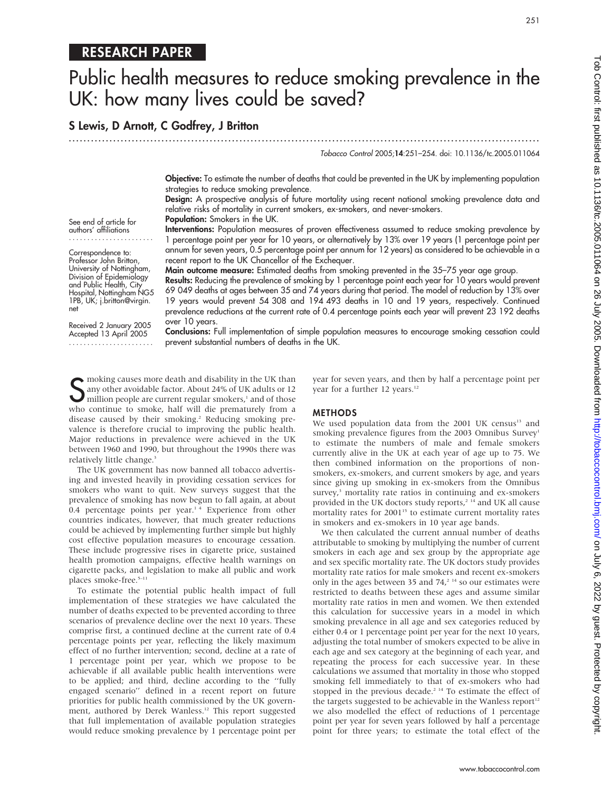# RESEARCH PAPER

# Public health measures to reduce smoking prevalence in the UK: how many lives could be saved?

S Lewis, D Arnott, C Godfrey, J Britton

...............................................................................................................................

Tobacco Control 2005;14:251–254. doi: 10.1136/tc.2005.011064

Objective: To estimate the number of deaths that could be prevented in the UK by implementing population strategies to reduce smoking prevalence.

Design: A prospective analysis of future mortality using recent national smoking prevalence data and relative risks of mortality in current smokers, ex-smokers, and never-smokers. Population: Smokers in the UK.

Interventions: Population measures of proven effectiveness assumed to reduce smoking prevalence by 1 percentage point per year for 10 years, or alternatively by 13% over 19 years (1 percentage point per annum for seven years, 0.5 percentage point per annum for 12 years) as considered to be achievable in a recent report to the UK Chancellor of the Exchequer.

Main outcome measure: Estimated deaths from smoking prevented in the 35–75 year age group.

Results: Reducing the prevalence of smoking by 1 percentage point each year for 10 years would prevent 69 049 deaths at ages between 35 and 74 years during that period. The model of reduction by 13% over 19 years would prevent 54 308 and 194 493 deaths in 10 and 19 years, respectively. Continued prevalence reductions at the current rate of 0.4 percentage points each year will prevent 23 192 deaths over 10 years.

Conclusions: Full implementation of simple population measures to encourage smoking cessation could prevent substantial numbers of deaths in the UK.

S moking causes more death and disability in the UK than<br>any other avoidable factor. About 24% of UK adults or 12<br>million people are current regular smokers,<sup>1</sup> and of those any other avoidable factor. About 24% of UK adults or 12 million people are current regular smokers, $1$  and of those who continue to smoke, half will die prematurely from a disease caused by their smoking.<sup>2</sup> Reducing smoking prevalence is therefore crucial to improving the public health. Major reductions in prevalence were achieved in the UK between 1960 and 1990, but throughout the 1990s there was relatively little change.<sup>3</sup>

The UK government has now banned all tobacco advertising and invested heavily in providing cessation services for smokers who want to quit. New surveys suggest that the prevalence of smoking has now begun to fall again, at about 0.4 percentage points per year. $14$  Experience from other countries indicates, however, that much greater reductions could be achieved by implementing further simple but highly cost effective population measures to encourage cessation. These include progressive rises in cigarette price, sustained health promotion campaigns, effective health warnings on cigarette packs, and legislation to make all public and work places smoke-free.<sup>5-11</sup>

To estimate the potential public health impact of full implementation of these strategies we have calculated the number of deaths expected to be prevented according to three scenarios of prevalence decline over the next 10 years. These comprise first, a continued decline at the current rate of 0.4 percentage points per year, reflecting the likely maximum effect of no further intervention; second, decline at a rate of 1 percentage point per year, which we propose to be achievable if all available public health interventions were to be applied; and third, decline according to the ''fully engaged scenario'' defined in a recent report on future priorities for public health commissioned by the UK government, authored by Derek Wanless.<sup>12</sup> This report suggested that full implementation of available population strategies would reduce smoking prevalence by 1 percentage point per year for seven years, and then by half a percentage point per year for a further 12 years.<sup>12</sup>

#### METHODS

We used population data from the 2001 UK census<sup>13</sup> and smoking prevalence figures from the 2003 Omnibus Survey<sup>1</sup> to estimate the numbers of male and female smokers currently alive in the UK at each year of age up to 75. We then combined information on the proportions of nonsmokers, ex-smokers, and current smokers by age, and years since giving up smoking in ex-smokers from the Omnibus survey,<sup>3</sup> mortality rate ratios in continuing and ex-smokers provided in the UK doctors study reports,<sup>2 14</sup> and UK all cause mortality rates for  $2001^{15}$  to estimate current mortality rates in smokers and ex-smokers in 10 year age bands.

We then calculated the current annual number of deaths attributable to smoking by multiplying the number of current smokers in each age and sex group by the appropriate age and sex specific mortality rate. The UK doctors study provides mortality rate ratios for male smokers and recent ex-smokers only in the ages between 35 and  $74<sup>214</sup>$  so our estimates were restricted to deaths between these ages and assume similar mortality rate ratios in men and women. We then extended this calculation for successive years in a model in which smoking prevalence in all age and sex categories reduced by either 0.4 or 1 percentage point per year for the next 10 years, adjusting the total number of smokers expected to be alive in each age and sex category at the beginning of each year, and repeating the process for each successive year. In these calculations we assumed that mortality in those who stopped smoking fell immediately to that of ex-smokers who had stopped in the previous decade.<sup>2 14</sup> To estimate the effect of the targets suggested to be achievable in the Wanless report<sup>12</sup> we also modelled the effect of reductions of 1 percentage point per year for seven years followed by half a percentage point for three years; to estimate the total effect of the

authors' affiliations ....................... Correspondence to: Professor John Britton, University of Nottingham,

See end of article for

Division of Epidemiology and Public Health, City Hospital, Nottingham NG5 1PB, UK; j.britton@virgin. net

Received 2 January 2005 Accepted 13 April 2005 .......................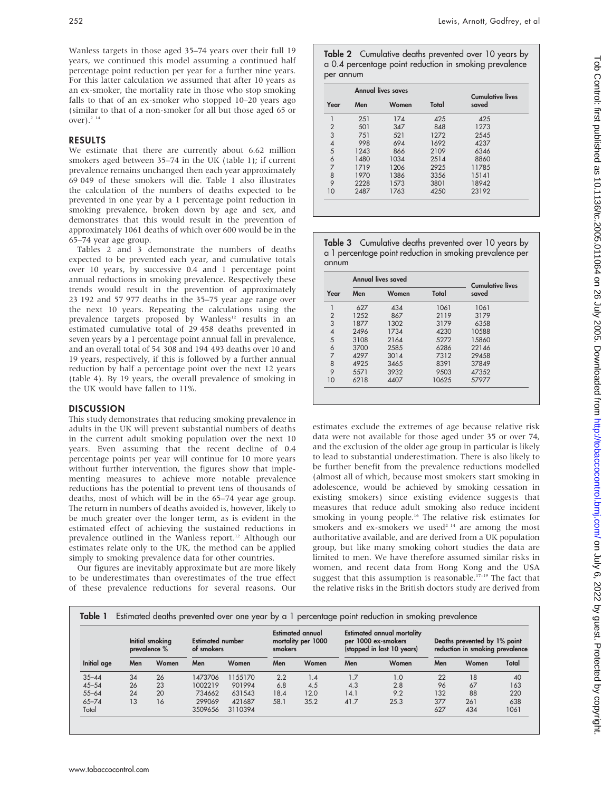Wanless targets in those aged 35–74 years over their full 19 years, we continued this model assuming a continued half percentage point reduction per year for a further nine years. For this latter calculation we assumed that after 10 years as an ex-smoker, the mortality rate in those who stop smoking falls to that of an ex-smoker who stopped 10–20 years ago (similar to that of a non-smoker for all but those aged 65 or over).<sup>2 14</sup>

### RESULTS

We estimate that there are currently about 6.62 million smokers aged between 35–74 in the UK (table 1); if current prevalence remains unchanged then each year approximately 69 049 of these smokers will die. Table 1 also illustrates the calculation of the numbers of deaths expected to be prevented in one year by a 1 percentage point reduction in smoking prevalence, broken down by age and sex, and demonstrates that this would result in the prevention of approximately 1061 deaths of which over 600 would be in the 65–74 year age group.

Tables 2 and 3 demonstrate the numbers of deaths expected to be prevented each year, and cumulative totals over 10 years, by successive 0.4 and 1 percentage point annual reductions in smoking prevalence. Respectively these trends would result in the prevention of approximately 23 192 and 57 977 deaths in the 35–75 year age range over the next 10 years. Repeating the calculations using the prevalence targets proposed by Wanless<sup>12</sup> results in an estimated cumulative total of 29 458 deaths prevented in seven years by a 1 percentage point annual fall in prevalence, and an overall total of 54 308 and 194 493 deaths over 10 and 19 years, respectively, if this is followed by a further annual reduction by half a percentage point over the next 12 years (table 4). By 19 years, the overall prevalence of smoking in the UK would have fallen to 11%.

## **DISCUSSION**

This study demonstrates that reducing smoking prevalence in adults in the UK will prevent substantial numbers of deaths in the current adult smoking population over the next 10 years. Even assuming that the recent decline of 0.4 percentage points per year will continue for 10 more years without further intervention, the figures show that implementing measures to achieve more notable prevalence reductions has the potential to prevent tens of thousands of deaths, most of which will be in the 65–74 year age group. The return in numbers of deaths avoided is, however, likely to be much greater over the longer term, as is evident in the estimated effect of achieving the sustained reductions in prevalence outlined in the Wanless report.<sup>12</sup> Although our estimates relate only to the UK, the method can be applied simply to smoking prevalence data for other countries.

Our figures are inevitably approximate but are more likely to be underestimates than overestimates of the true effect of these prevalence reductions for several reasons. Our Table 2 Cumulative deaths prevented over 10 years by a 0.4 percentage point reduction in smoking prevalence per annum

|                |      | <b>Annual lives saves</b> | <b>Cumulative lives</b> |       |  |
|----------------|------|---------------------------|-------------------------|-------|--|
| Year           | Men  | Women                     | Total                   | saved |  |
|                | 251  | 174                       | 425                     | 425   |  |
| $\overline{2}$ | 501  | 347                       | 848                     | 1273  |  |
| 3              | 751  | 521                       | 1272                    | 2545  |  |
| $\overline{4}$ | 998  | 694                       | 1692                    | 4237  |  |
| 5              | 1243 | 866                       | 2109                    | 6346  |  |
| 6              | 1480 | 1034                      | 2514                    | 8860  |  |
| 7              | 1719 | 1206                      | 2925                    | 11785 |  |
| 8              | 1970 | 1386                      | 3356                    | 15141 |  |
| 9              | 2228 | 1573                      | 3801                    | 18942 |  |
| 10             | 2487 | 1763                      | 4250                    | 23192 |  |

Table 3 Cumulative deaths prevented over 10 years by a 1 percentage point reduction in smoking prevalence per annum

|                |      | Annual lives saved | <b>Cumulative lives</b> |       |  |
|----------------|------|--------------------|-------------------------|-------|--|
| Year           | Men  | Women              | Total                   | saved |  |
|                | 627  | 434                | 1061                    | 1061  |  |
| $\overline{2}$ | 1252 | 867                | 2119                    | 3179  |  |
| 3              | 1877 | 1302               | 3179                    | 6358  |  |
| 4              | 2496 | 1734               | 4230                    | 10588 |  |
| 5              | 3108 | 2164               | 5272                    | 15860 |  |
| 6              | 3700 | 2585               | 6286                    | 22146 |  |
| 7              | 4297 | 3014               | 7312                    | 29458 |  |
| 8              | 4925 | 3465               | 8391                    | 37849 |  |
| 9              | 5571 | 3932               | 9503                    | 47352 |  |
| 10             | 6218 | 4407               | 10625                   | 57977 |  |

estimates exclude the extremes of age because relative risk data were not available for those aged under 35 or over 74, and the exclusion of the older age group in particular is likely to lead to substantial underestimation. There is also likely to be further benefit from the prevalence reductions modelled (almost all of which, because most smokers start smoking in adolescence, would be achieved by smoking cessation in existing smokers) since existing evidence suggests that measures that reduce adult smoking also reduce incident smoking in young people.<sup>16</sup> The relative risk estimates for smokers and ex-smokers we used<sup>2 14</sup> are among the most authoritative available, and are derived from a UK population group, but like many smoking cohort studies the data are limited to men. We have therefore assumed similar risks in women, and recent data from Hong Kong and the USA suggest that this assumption is reasonable.<sup>17-19</sup> The fact that the relative risks in the British doctors study are derived from

| Initial age | Initial smoking<br>prevalence % |       | <b>Estimated number</b><br>of smokers |         | Estimated annual<br>mortality per 1000<br>smokers |       | <b>Estimated annual mortality</b><br>per 1000 ex-smokers<br>(stopped in last 10 years) |       | Deaths prevented by 1% point<br>reduction in smoking prevalence |       |       |
|-------------|---------------------------------|-------|---------------------------------------|---------|---------------------------------------------------|-------|----------------------------------------------------------------------------------------|-------|-----------------------------------------------------------------|-------|-------|
|             | Men                             | Women | Men                                   | Women   | Men                                               | Women | Men                                                                                    | Women | Men                                                             | Women | Total |
| $35 - 44$   | 34                              | 26    | 1473706                               | 1155170 | 2.2                                               | 1.4   | 1.7                                                                                    | 1.0   | 22                                                              | 18    | 40    |
| $45 - 54$   | 26                              | 23    | 1002219                               | 901994  | 6.8                                               | 4.5   | 4.3                                                                                    | 2.8   | 96                                                              | 67    | 163   |
| $55 - 64$   | 24                              | 20    | 734662                                | 631543  | 18.4                                              | 12.0  | 14.1                                                                                   | 9.2   | 132                                                             | 88    | 220   |
| $65 - 74$   | 13                              | 16    | 299069                                | 421687  | 58.1                                              | 35.2  | 41.7                                                                                   | 25.3  | 377                                                             | 261   | 638   |
| Total       |                                 |       | 3509656                               | 3110394 |                                                   |       |                                                                                        |       | 627                                                             | 434   | 1061  |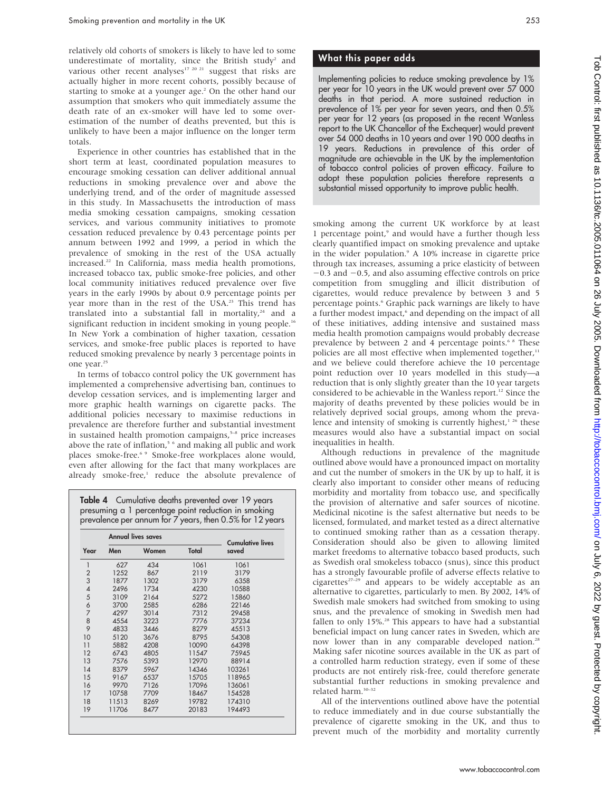relatively old cohorts of smokers is likely to have led to some underestimate of mortality, since the British study<sup>2</sup> and various other recent analyses<sup>17 20 21</sup> suggest that risks are actually higher in more recent cohorts, possibly because of starting to smoke at a younger age.<sup>2</sup> On the other hand our assumption that smokers who quit immediately assume the death rate of an ex-smoker will have led to some overestimation of the number of deaths prevented, but this is unlikely to have been a major influence on the longer term totals.

Experience in other countries has established that in the short term at least, coordinated population measures to encourage smoking cessation can deliver additional annual reductions in smoking prevalence over and above the underlying trend, and of the order of magnitude assessed in this study. In Massachusetts the introduction of mass media smoking cessation campaigns, smoking cessation services, and various community initiatives to promote cessation reduced prevalence by 0.43 percentage points per annum between 1992 and 1999, a period in which the prevalence of smoking in the rest of the USA actually increased.22 In California, mass media health promotions, increased tobacco tax, public smoke-free policies, and other local community initiatives reduced prevalence over five years in the early 1990s by about 0.9 percentage points per year more than in the rest of the USA.<sup>23</sup> This trend has translated into a substantial fall in mortality, $24$  and a significant reduction in incident smoking in young people.<sup>16</sup> In New York a combination of higher taxation, cessation services, and smoke-free public places is reported to have reduced smoking prevalence by nearly 3 percentage points in one year.<sup>25</sup>

In terms of tobacco control policy the UK government has implemented a comprehensive advertising ban, continues to develop cessation services, and is implementing larger and more graphic health warnings on cigarette packs. The additional policies necessary to maximise reductions in prevalence are therefore further and substantial investment in sustained health promotion campaigns, $5-8$  price increases above the rate of inflation,<sup>5</sup> <sup>6</sup> and making all public and work places smoke-free.<sup>6</sup> 9 Smoke-free workplaces alone would, even after allowing for the fact that many workplaces are already smoke-free,<sup>1</sup> reduce the absolute prevalence of

Table 4 Cumulative deaths prevented over 19 years presuming a 1 percentage point reduction in smoking prevalence per annum for 7 years, then 0.5% for 12 years

|                | Annual lives saves |       | <b>Cumulative lives</b> |        |
|----------------|--------------------|-------|-------------------------|--------|
| Year           | Men                | Women | Total                   | saved  |
| $\mathbf{1}$   | 627                | 434   | 1061                    | 1061   |
| $\overline{2}$ | 1252               | 867   | 2119                    | 3179   |
| 3              | 1877               | 1302  | 3179                    | 6358   |
| 4              | 2496               | 1734  | 4230                    | 10588  |
| 5              | 3109               | 2164  | 5272                    | 15860  |
| 6              | 3700               | 2585  | 6286                    | 22146  |
| $\overline{7}$ | 4297               | 3014  | 7312                    | 29458  |
| 8              | 4554               | 3223  | 7776                    | 37234  |
| 9              | 4833               | 3446  | 8279                    | 45513  |
| 10             | 5120               | 3676  | 8795                    | 54308  |
| 11             | 5882               | 4208  | 10090                   | 64398  |
| 12             | 6743               | 4805  | 11547                   | 75945  |
| 13             | 7576               | 5393  | 12970                   | 88914  |
| 14             | 8379               | 5967  | 14346                   | 103261 |
| 15             | 9167               | 6537  | 15705                   | 118965 |
| 16             | 9970               | 7126  | 17096                   | 136061 |
| 17             | 10758              | 7709  | 18467                   | 154528 |
| 18             | 11513              | 8269  | 19782                   | 174310 |
| 19             | 11706              | 8477  | 20183                   | 194493 |

# What this paper adds

Implementing policies to reduce smoking prevalence by 1% per year for 10 years in the UK would prevent over 57 000 deaths in that period. A more sustained reduction in prevalence of 1% per year for seven years, and then 0.5% per year for 12 years (as proposed in the recent Wanless report to the UK Chancellor of the Exchequer) would prevent over 54 000 deaths in 10 years and over 190 000 deaths in 19 years. Reductions in prevalence of this order of magnitude are achievable in the UK by the implementation of tobacco control policies of proven efficacy. Failure to adopt these population policies therefore represents a substantial missed opportunity to improve public health.

smoking among the current UK workforce by at least 1 percentage point,<sup>9</sup> and would have a further though less clearly quantified impact on smoking prevalence and uptake in the wider population.<sup>9</sup> A 10% increase in cigarette price through tax increases, assuming a price elasticity of between  $-0.3$  and  $-0.5$ , and also assuming effective controls on price competition from smuggling and illicit distribution of cigarettes, would reduce prevalence by between 3 and 5 percentage points.<sup>6</sup> Graphic pack warnings are likely to have a further modest impact,<sup>6</sup> and depending on the impact of all of these initiatives, adding intensive and sustained mass media health promotion campaigns would probably decrease prevalence by between 2 and 4 percentage points.<sup>68</sup> These policies are all most effective when implemented together,<sup>11</sup> and we believe could therefore achieve the 10 percentage point reduction over 10 years modelled in this study—a reduction that is only slightly greater than the 10 year targets considered to be achievable in the Wanless report.<sup>12</sup> Since the majority of deaths prevented by these policies would be in relatively deprived social groups, among whom the prevalence and intensity of smoking is currently highest,<sup>1 26</sup> these measures would also have a substantial impact on social inequalities in health.

Although reductions in prevalence of the magnitude outlined above would have a pronounced impact on mortality and cut the number of smokers in the UK by up to half, it is clearly also important to consider other means of reducing morbidity and mortality from tobacco use, and specifically the provision of alternative and safer sources of nicotine. Medicinal nicotine is the safest alternative but needs to be licensed, formulated, and market tested as a direct alternative to continued smoking rather than as a cessation therapy. Consideration should also be given to allowing limited market freedoms to alternative tobacco based products, such as Swedish oral smokeless tobacco (snus), since this product has a strongly favourable profile of adverse effects relative to cigarettes $27-29$  and appears to be widely acceptable as an alternative to cigarettes, particularly to men. By 2002, 14% of Swedish male smokers had switched from smoking to using snus, and the prevalence of smoking in Swedish men had fallen to only 15%.<sup>28</sup> This appears to have had a substantial beneficial impact on lung cancer rates in Sweden, which are now lower than in any comparable developed nation.<sup>28</sup> Making safer nicotine sources available in the UK as part of a controlled harm reduction strategy, even if some of these products are not entirely risk-free, could therefore generate substantial further reductions in smoking prevalence and related harm.30–32

All of the interventions outlined above have the potential to reduce immediately and in due course substantially the prevalence of cigarette smoking in the UK, and thus to prevent much of the morbidity and mortality currently